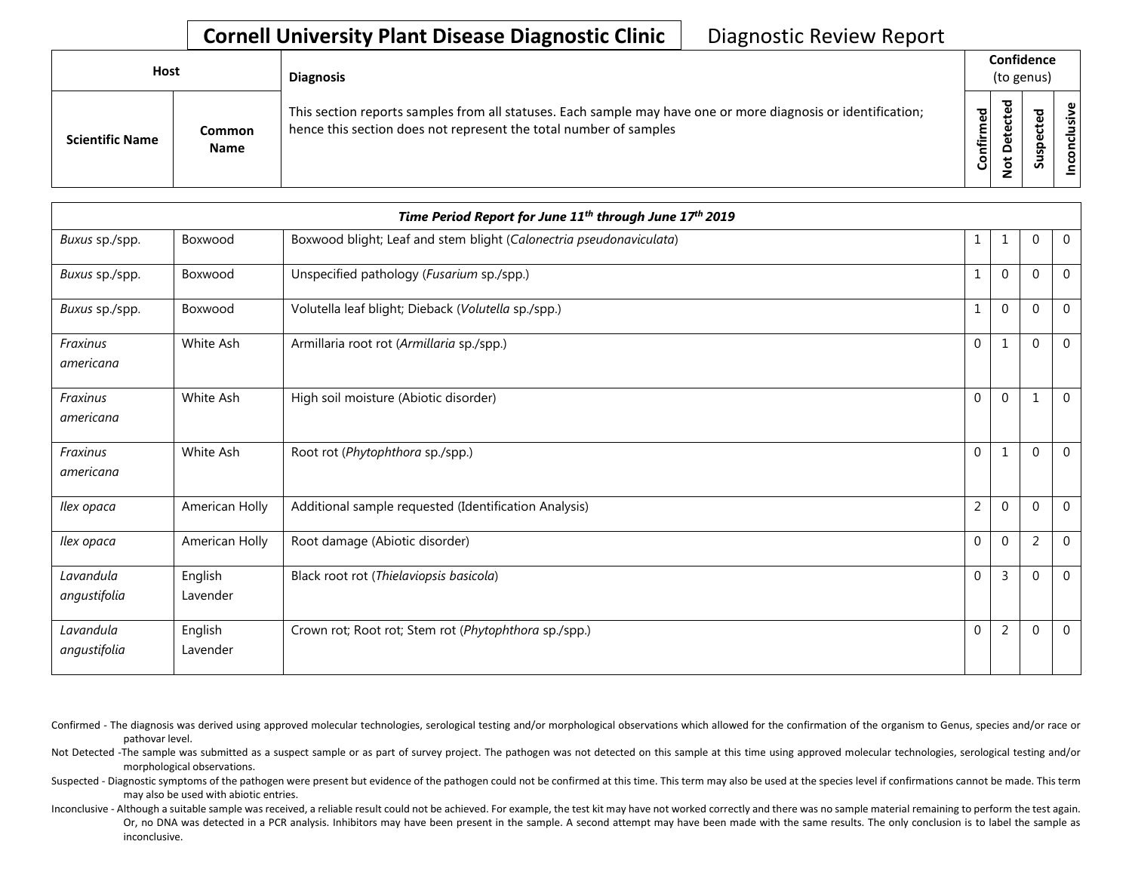## **Cornell University Plant Disease Diagnostic Clinic | Diagnostic Review Report**

| Host |                        |                              | <b>Diagnosis</b>                                                                                                                                                                   |           |    | Confidence<br>(to genus) |                 |  |
|------|------------------------|------------------------------|------------------------------------------------------------------------------------------------------------------------------------------------------------------------------------|-----------|----|--------------------------|-----------------|--|
|      | <b>Scientific Name</b> | <b>Common</b><br><b>Name</b> | This section reports samples from all statuses. Each sample may have one or more diagnosis or identification;<br>hence this section does not represent the total number of samples | Confirmed | 73 | s<br>-<br>۰              | usive<br>nconcl |  |

|                           | Time Period Report for June 11 <sup>th</sup> through June 17 <sup>th</sup> 2019 |                                                                     |                |                |                |                |  |
|---------------------------|---------------------------------------------------------------------------------|---------------------------------------------------------------------|----------------|----------------|----------------|----------------|--|
| Buxus sp./spp.            | Boxwood                                                                         | Boxwood blight; Leaf and stem blight (Calonectria pseudonaviculata) | 1              | 1              | $\Omega$       | $\overline{0}$ |  |
| Buxus sp./spp.            | Boxwood                                                                         | Unspecified pathology (Fusarium sp./spp.)                           |                | $\mathbf 0$    | $\Omega$       | $\mathbf 0$    |  |
| Buxus sp./spp.            | Boxwood                                                                         | Volutella leaf blight; Dieback (Volutella sp./spp.)                 | 1              | $\mathbf 0$    | $\theta$       | $\mathbf{0}$   |  |
| Fraxinus<br>americana     | White Ash                                                                       | Armillaria root rot (Armillaria sp./spp.)                           | $\mathbf{0}$   | $\mathbf{1}$   | $\Omega$       | $\mathbf{0}$   |  |
| Fraxinus<br>americana     | White Ash                                                                       | High soil moisture (Abiotic disorder)                               | $\Omega$       | $\mathbf{0}$   | 1              | $\overline{0}$ |  |
| Fraxinus<br>americana     | White Ash                                                                       | Root rot (Phytophthora sp./spp.)                                    | $\mathbf 0$    | 1              | $\mathbf{0}$   | $\overline{0}$ |  |
| Ilex opaca                | American Holly                                                                  | Additional sample requested (Identification Analysis)               | $\overline{2}$ | $\mathbf 0$    | $\Omega$       | $\overline{0}$ |  |
| Ilex opaca                | American Holly                                                                  | Root damage (Abiotic disorder)                                      | $\mathbf{0}$   | $\mathbf{0}$   | $\overline{2}$ | $\mathbf{0}$   |  |
| Lavandula<br>angustifolia | English<br>Lavender                                                             | Black root rot (Thielaviopsis basicola)                             | $\Omega$       | 3              | $\Omega$       | $\overline{0}$ |  |
| Lavandula<br>angustifolia | English<br>Lavender                                                             | Crown rot; Root rot; Stem rot (Phytophthora sp./spp.)               | $\mathbf 0$    | $\overline{2}$ | $\Omega$       | $\overline{0}$ |  |

Confirmed - The diagnosis was derived using approved molecular technologies, serological testing and/or morphological observations which allowed for the confirmation of the organism to Genus, species and/or race or pathovar level.

Not Detected -The sample was submitted as a suspect sample or as part of survey project. The pathogen was not detected on this sample at this time using approved molecular technologies, serological testing and/or morphological observations.

Suspected - Diagnostic symptoms of the pathogen were present but evidence of the pathogen could not be confirmed at this time. This term may also be used at the species level if confirmations cannot be made. This term may also be used with abiotic entries.

Or, no DNA was detected in a PCR analysis. Inhibitors may have been present in the sample. A second attempt may have been made with the same results. The only conclusion is to label the sample as Inconclusive - Although a suitable sample was received, a reliable result could not be achieved. For example, the test kit may have not worked correctly and there was no sample material remaining to perform the test again. inconclusive.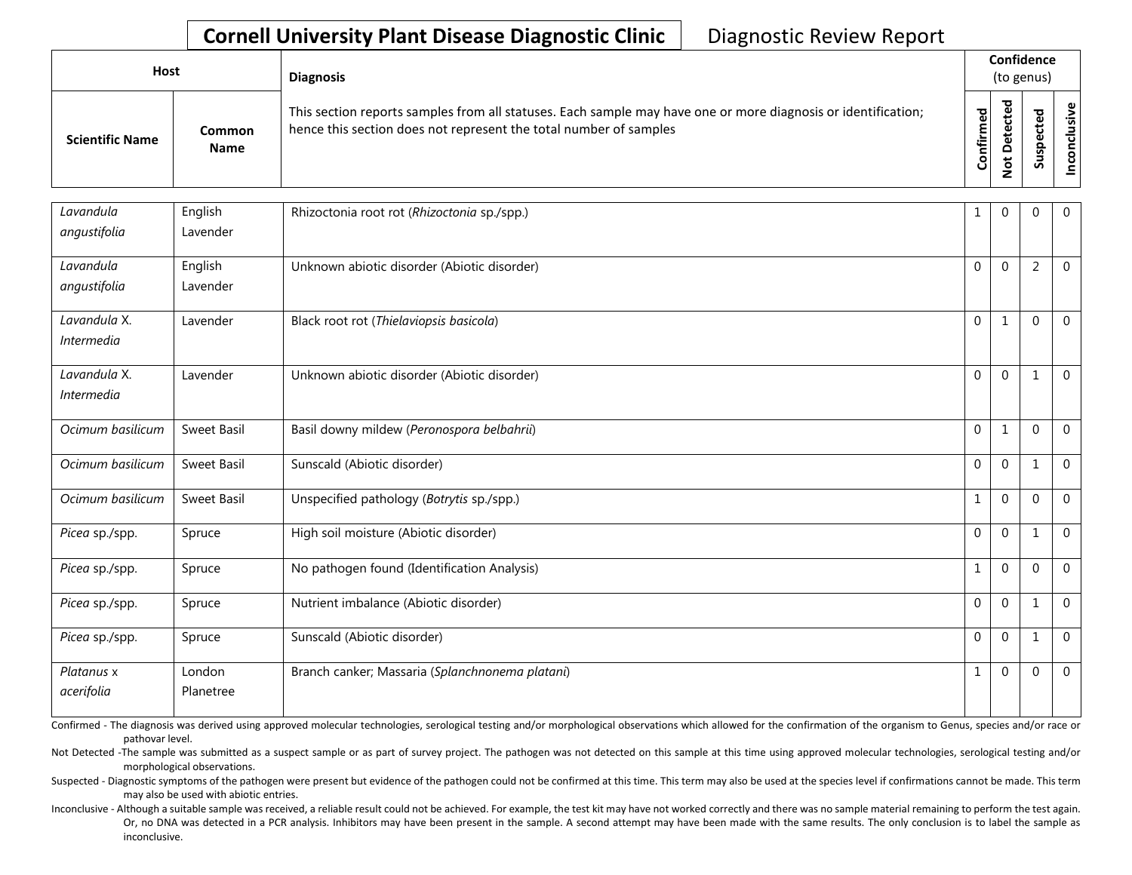## **Cornell University Plant Disease Diagnostic Clinic | Diagnostic Review Report**

| Host                   |                       | <b>Diagnosis</b>                                                                                                                                                                   |           | Confidence<br>(to genus) |   |                         |  |  |
|------------------------|-----------------------|------------------------------------------------------------------------------------------------------------------------------------------------------------------------------------|-----------|--------------------------|---|-------------------------|--|--|
| <b>Scientific Name</b> | Common<br><b>Name</b> | This section reports samples from all statuses. Each sample may have one or more diagnosis or identification;<br>hence this section does not represent the total number of samples | Confirmed | ᇃ<br>≏                   | ທ | ഄ<br>.≥<br>š<br>᠊ᠣ<br>g |  |  |

| Lavandula         | English     | Rhizoctonia root rot (Rhizoctonia sp./spp.)     | 1            | $\mathbf 0$  | $\Omega$       | $\overline{0}$ |
|-------------------|-------------|-------------------------------------------------|--------------|--------------|----------------|----------------|
| angustifolia      | Lavender    |                                                 |              |              |                |                |
| Lavandula         | English     | Unknown abiotic disorder (Abiotic disorder)     | $\mathbf 0$  | $\mathbf 0$  | $\overline{2}$ | $\mathbf{0}$   |
| angustifolia      | Lavender    |                                                 |              |              |                |                |
| Lavandula X.      | Lavender    | Black root rot (Thielaviopsis basicola)         | $\Omega$     | $\mathbf{1}$ | $\Omega$       | $\mathbf 0$    |
| <i>Intermedia</i> |             |                                                 |              |              |                |                |
| Lavandula X.      | Lavender    | Unknown abiotic disorder (Abiotic disorder)     | $\mathbf 0$  | $\mathbf 0$  | 1              | $\mathbf{0}$   |
| <i>Intermedia</i> |             |                                                 |              |              |                |                |
| Ocimum basilicum  | Sweet Basil | Basil downy mildew (Peronospora belbahrii)      | $\Omega$     | $1\,$        | $\mathbf{0}$   | $\mathbf 0$    |
| Ocimum basilicum  | Sweet Basil | Sunscald (Abiotic disorder)                     | $\mathbf 0$  | $\mathbf{0}$ | 1              | $\overline{0}$ |
| Ocimum basilicum  | Sweet Basil | Unspecified pathology (Botrytis sp./spp.)       | $\mathbf{1}$ | $\mathbf{0}$ | $\mathbf{0}$   | $\overline{0}$ |
| Picea sp./spp.    | Spruce      | High soil moisture (Abiotic disorder)           | $\Omega$     | $\Omega$     | 1              | $\Omega$       |
| Picea sp./spp.    | Spruce      | No pathogen found (Identification Analysis)     | $\mathbf{1}$ | $\mathbf{0}$ | $\Omega$       | $\mathbf 0$    |
| Picea sp./spp.    | Spruce      | Nutrient imbalance (Abiotic disorder)           | $\Omega$     | $\mathbf{0}$ | 1              | $\mathbf 0$    |
| Picea sp./spp.    | Spruce      | Sunscald (Abiotic disorder)                     | $\mathbf 0$  | $\mathbf 0$  | $\mathbf{1}$   | $\mathbf 0$    |
| Platanus x        | London      | Branch canker; Massaria (Splanchnonema platani) | $\mathbf{1}$ | $\Omega$     | $\mathbf 0$    | $\Omega$       |
| acerifolia        | Planetree   |                                                 |              |              |                |                |

Confirmed - The diagnosis was derived using approved molecular technologies, serological testing and/or morphological observations which allowed for the confirmation of the organism to Genus, species and/or race or pathovar level.

Not Detected -The sample was submitted as a suspect sample or as part of survey project. The pathogen was not detected on this sample at this time using approved molecular technologies, serological testing and/or morphological observations.

Suspected - Diagnostic symptoms of the pathogen were present but evidence of the pathogen could not be confirmed at this time. This term may also be used at the species level if confirmations cannot be made. This term may also be used with abiotic entries.

Or, no DNA was detected in a PCR analysis. Inhibitors may have been present in the sample. A second attempt may have been made with the same results. The only conclusion is to label the sample as Inconclusive - Although a suitable sample was received, a reliable result could not be achieved. For example, the test kit may have not worked correctly and there was no sample material remaining to perform the test again. inconclusive.